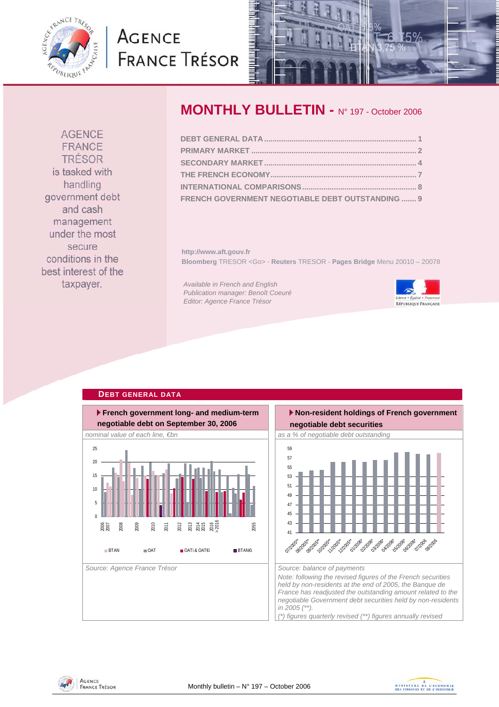<span id="page-0-0"></span>

# **AGENCE FRANCE TRÉSOR**



# **MONTHLY BULLETIN -** N° 197 - October 2006

| FRENCH GOVERNMENT NEGOTIABLE DEBT OUTSTANDING  9 |  |
|--------------------------------------------------|--|

**http://www.aft.gouv.fr Bloomberg** TRESOR <Go> - **Reuters** TRESOR - **Pages Bridge** Menu 20010 – 20078

*Available in French and English Publication manager: Benoît Coeuré Editor: Agence France Trésor* 



#### **French government long- and medium-term negotiable debt on September 30, 2006** *nominal value of each line, €bn* as a % of negotiable debt outstanding as a % of negotiable debt outstanding Source: Agence France Trésor **Source: balance of payments** Source: balance of payments  $\overline{0}$ 5 10 15 20 25 2006 2007 2008 2009 2010 2011 2012 ភា<br>ភី ភី ភី ភី ភី<br>ភី ភី ភី ភី 2055 **BTAN OAT OATI&OATE**i BTAN€i



**AGENCE** FRANCE TRÉSOR is tasked with handling government debt and cash management under the most secure conditions in the best interest of the

taxpayer.

**DEBT GENERAL DATA**



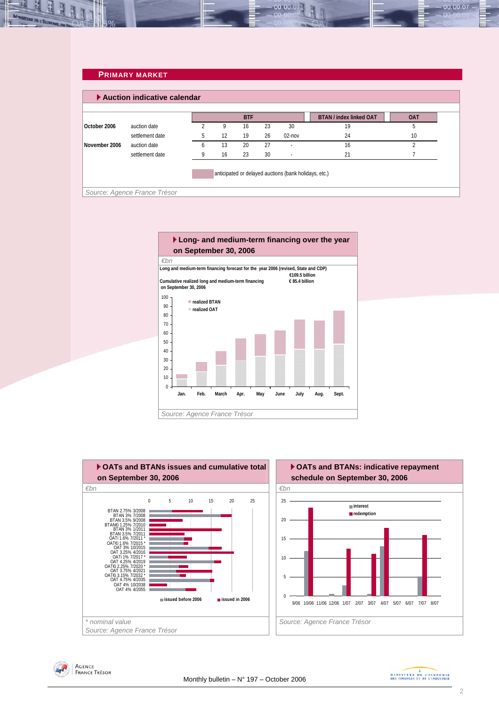#### **PRIMARY MARKET**

<span id="page-1-0"></span>L. بالخليب

E

|               |                 |              |    | <b>BTF</b> |    |                          | <b>BTAN / index linked OAT</b> | <b>OAT</b> |
|---------------|-----------------|--------------|----|------------|----|--------------------------|--------------------------------|------------|
| October 2006  | auction date    |              | 9  | 16         | 23 | 30                       | 19                             |            |
|               | settlement date | 5            | 12 | 19         | 26 | $02$ -nov                | 24                             | 10         |
| November 2006 | auction date    | <sub>6</sub> | 13 | 20         | 27 | $\overline{a}$           | 16                             |            |
|               | settlement date | q            | 16 | 23         | 30 | $\overline{\phantom{a}}$ | 21                             |            |

00.00.07







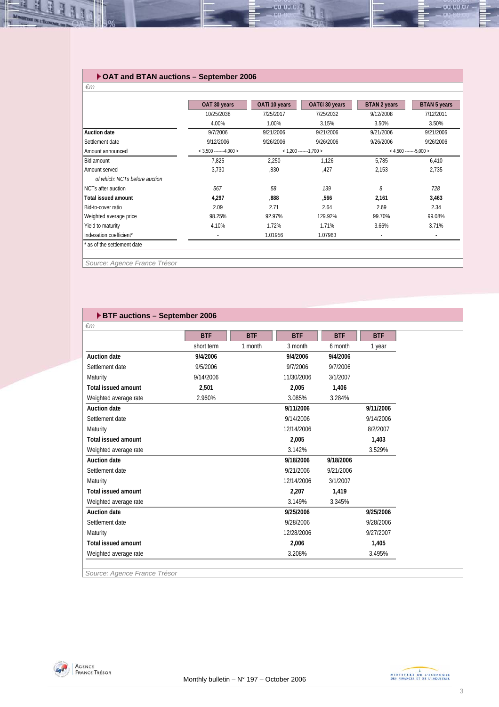#### **OAT and BTAN auctions – September 2006**

可可

| OATi 10 years<br>OAT€i 30 years | <b>BTAN 2 years</b><br><b>BTAN 5 years</b>           |
|---------------------------------|------------------------------------------------------|
| 7/25/2032                       | 9/12/2008<br>7/12/2011                               |
| 3.15%                           | 3.50%<br>3.50%                                       |
| 9/21/2006                       | 9/21/2006<br>9/21/2006                               |
| 9/26/2006                       | 9/26/2006<br>9/26/2006                               |
| $< 1,200$ -------1,700 >        | $<$ 4.500 -------5.000 >                             |
| 1,126                           | 5,785<br>6,410                                       |
| ,427                            | 2,153<br>2,735                                       |
|                                 |                                                      |
| 139                             | 8<br>728                                             |
| ,566                            | 2,161<br>3,463                                       |
| 2.64                            | 2.69<br>2.34                                         |
| 129.92%                         | 99.70%<br>99.08%                                     |
| 1.71%                           | 3.71%<br>3.66%                                       |
| 1.07963                         | $\overline{\phantom{a}}$<br>$\overline{\phantom{a}}$ |
|                                 |                                                      |
| 1.72%<br>1.01956                |                                                      |

00.00.0

#### **BTF auctions – September 2006**

|                            | <b>BTF</b> | <b>BTF</b> | <b>BTF</b> | <b>BTF</b> | <b>BTF</b> |
|----------------------------|------------|------------|------------|------------|------------|
|                            | short term | 1 month    | 3 month    | 6 month    | 1 year     |
| <b>Auction date</b>        | 9/4/2006   |            | 9/4/2006   | 9/4/2006   |            |
| Settlement date            | 9/5/2006   |            | 9/7/2006   | 9/7/2006   |            |
| Maturity                   | 9/14/2006  |            | 11/30/2006 | 3/1/2007   |            |
| <b>Total issued amount</b> | 2,501      |            | 2,005      | 1,406      |            |
| Weighted average rate      | 2.960%     |            | 3.085%     | 3.284%     |            |
| <b>Auction date</b>        |            |            | 9/11/2006  |            | 9/11/2006  |
| Settlement date            |            |            | 9/14/2006  |            | 9/14/2006  |
| Maturity                   |            |            | 12/14/2006 |            | 8/2/2007   |
| <b>Total issued amount</b> |            |            | 2,005      |            | 1,403      |
| Weighted average rate      |            |            | 3.142%     |            | 3.529%     |
| <b>Auction date</b>        |            |            | 9/18/2006  | 9/18/2006  |            |
| Settlement date            |            |            | 9/21/2006  | 9/21/2006  |            |
| Maturity                   |            |            | 12/14/2006 | 3/1/2007   |            |
| <b>Total issued amount</b> |            |            | 2,207      | 1,419      |            |
| Weighted average rate      |            |            | 3.149%     | 3.345%     |            |
| <b>Auction date</b>        |            |            | 9/25/2006  |            | 9/25/2006  |
| Settlement date            |            |            | 9/28/2006  |            | 9/28/2006  |
| Maturity                   |            |            | 12/28/2006 |            | 9/27/2007  |
| <b>Total issued amount</b> |            |            | 2,006      |            | 1,405      |
| Weighted average rate      |            |            | 3.208%     |            | 3.495%     |

*Source: Agence France Trésor* 



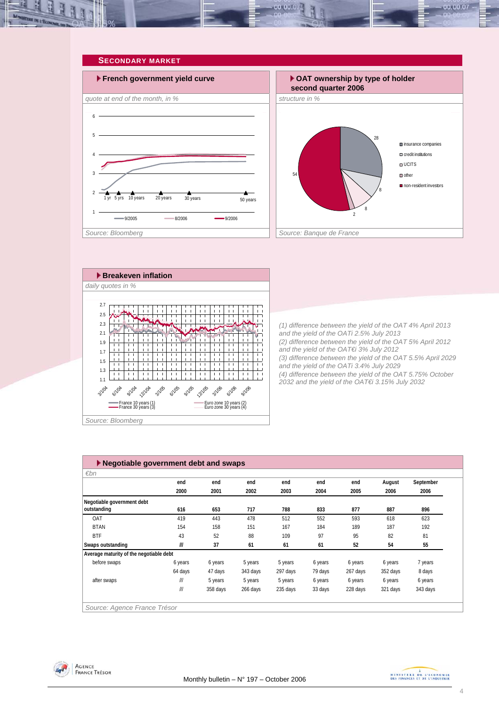<span id="page-3-0"></span>







*(1) difference between the yield of the OAT 4% April 2013 and the yield of the OATi 2.5% July 2013 (2) difference between the yield of the OAT 5% April 2012 and the yield of the OAT€i 3% July 2012 (3) difference between the yield of the OAT 5.5% April 2029 and the yield of the OATi 3.4% July 2029 (4) difference between the yield of the OAT 5.75% October 2032 and the yield of the OAT€i 3.15% July 2032* 

| $\varepsilon$ bn                        |                         |          |          |          |         |          |          |           |
|-----------------------------------------|-------------------------|----------|----------|----------|---------|----------|----------|-----------|
|                                         | end                     | end      | end      | end      | end     | end      | August   | September |
|                                         | 2000                    | 2001     | 2002     | 2003     | 2004    | 2005     | 2006     | 2006      |
| Negotiable government debt              |                         |          |          |          |         |          |          |           |
| outstanding                             | 616                     | 653      | 717      | 788      | 833     | 877      | 887      | 896       |
| OAT                                     | 419                     | 443      | 478      | 512      | 552     | 593      | 618      | 623       |
| <b>BTAN</b>                             | 154                     | 158      | 151      | 167      | 184     | 189      | 187      | 192       |
| <b>BTF</b>                              | 43                      | 52       | 88       | 109      | 97      | 95       | 82       | 81        |
| Swaps outstanding                       | III                     | 37       | 61       | 61       | 61      | 52       | 54       | 55        |
| Average maturity of the negotiable debt |                         |          |          |          |         |          |          |           |
| before swaps                            | 6 years                 | 6 years  | 5 years  | 5 years  | 6 years | 6 years  | 6 years  | 7 years   |
|                                         | 64 days                 | 47 days  | 343 days | 297 days | 79 days | 267 days | 352 days | 8 days    |
| after swaps                             | $^{\prime\prime\prime}$ | 5 years  | 5 years  | 5 years  | 6 years | 6 years  | 6 years  | 6 years   |
|                                         | III                     | 358 days | 266 days | 235 days | 33 days | 228 days | 321 days | 343 days  |



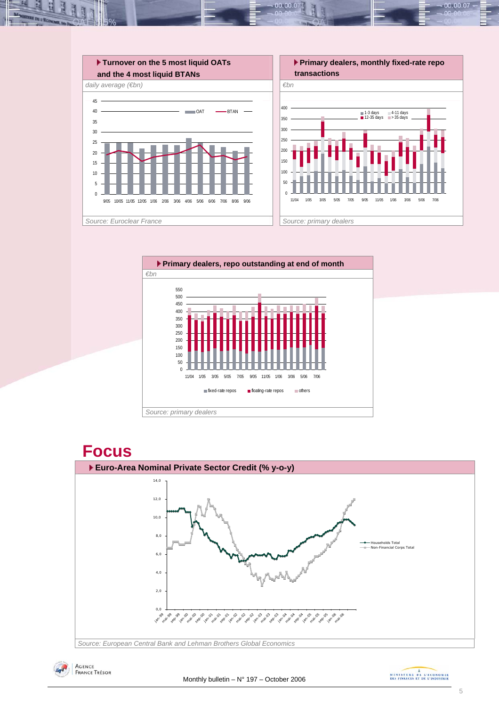









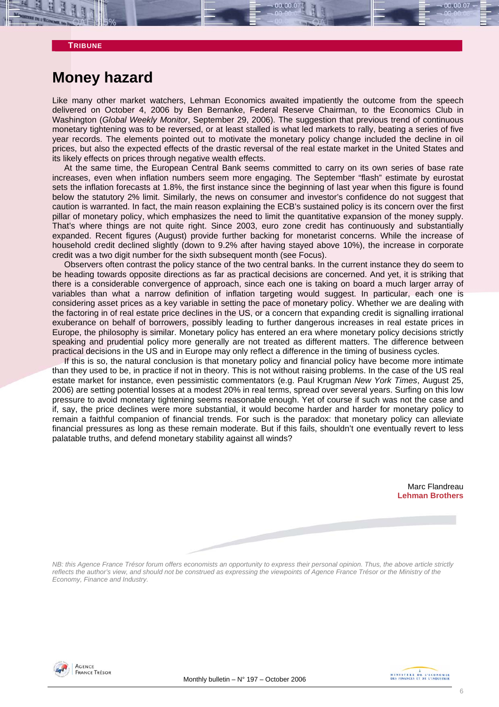#### **TRIBUNE**

## **Money hazard**

Like many other market watchers, Lehman Economics awaited impatiently the outcome from the speech delivered on October 4, 2006 by Ben Bernanke, Federal Reserve Chairman, to the Economics Club in Washington (*Global Weekly Monitor*, September 29, 2006). The suggestion that previous trend of continuous monetary tightening was to be reversed, or at least stalled is what led markets to rally, beating a series of five year records. The elements pointed out to motivate the monetary policy change included the decline in oil prices, but also the expected effects of the drastic reversal of the real estate market in the United States and its likely effects on prices through negative wealth effects.

At the same time, the European Central Bank seems committed to carry on its own series of base rate increases, even when inflation numbers seem more engaging. The September "flash" estimate by eurostat sets the inflation forecasts at 1.8%, the first instance since the beginning of last year when this figure is found below the statutory 2% limit. Similarly, the news on consumer and investor's confidence do not suggest that caution is warranted. In fact, the main reason explaining the ECB's sustained policy is its concern over the first pillar of monetary policy, which emphasizes the need to limit the quantitative expansion of the money supply. That's where things are not quite right. Since 2003, euro zone credit has continuously and substantially expanded. Recent figures (August) provide further backing for monetarist concerns. While the increase of household credit declined slightly (down to 9.2% after having stayed above 10%), the increase in corporate credit was a two digit number for the sixth subsequent month (see Focus).

Observers often contrast the policy stance of the two central banks. In the current instance they do seem to be heading towards opposite directions as far as practical decisions are concerned. And yet, it is striking that there is a considerable convergence of approach, since each one is taking on board a much larger array of variables than what a narrow definition of inflation targeting would suggest. In particular, each one is considering asset prices as a key variable in setting the pace of monetary policy. Whether we are dealing with the factoring in of real estate price declines in the US, or a concern that expanding credit is signalling irrational exuberance on behalf of borrowers, possibly leading to further dangerous increases in real estate prices in Europe, the philosophy is similar. Monetary policy has entered an era where monetary policy decisions strictly speaking and prudential policy more generally are not treated as different matters. The difference between practical decisions in the US and in Europe may only reflect a difference in the timing of business cycles.

If this is so, the natural conclusion is that monetary policy and financial policy have become more intimate than they used to be, in practice if not in theory. This is not without raising problems. In the case of the US real estate market for instance, even pessimistic commentators (e.g. Paul Krugman *New York Times*, August 25, 2006) are setting potential losses at a modest 20% in real terms, spread over several years. Surfing on this low pressure to avoid monetary tightening seems reasonable enough. Yet of course if such was not the case and if, say, the price declines were more substantial, it would become harder and harder for monetary policy to remain a faithful companion of financial trends. For such is the paradox: that monetary policy can alleviate financial pressures as long as these remain moderate. But if this fails, shouldn't one eventually revert to less palatable truths, and defend monetary stability against all winds?

> Marc Flandreau **Lehman Brothers**

# *NB: this Agence France Trésor forum offers economists an opportunity to express their personal opinion. Thus, the above article strictly*

*reflects the author's view, and should not be construed as expressing the viewpoints of Agence France Trésor or the Ministry of the Economy, Finance and Industry.* 



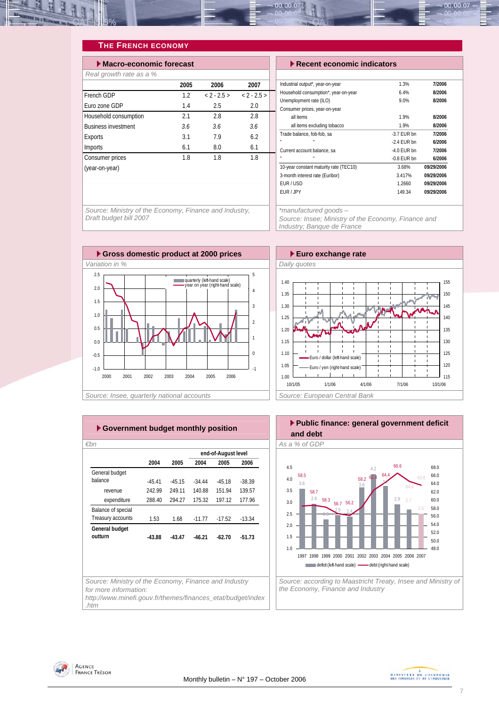<span id="page-6-0"></span>

### **THE FRENCH ECONOMY**

| $\blacktriangleright$ Macro-economic forecast |      | Recent economic indicators |               |                                                          |                  |
|-----------------------------------------------|------|----------------------------|---------------|----------------------------------------------------------|------------------|
| Real growth rate as a %                       |      |                            |               |                                                          |                  |
|                                               | 2005 | 2006                       | 2007          | Industrial output*, year-on-year                         |                  |
| French GDP                                    | 1.2  | $< 2 - 2.5 >$              | $< 2 - 2.5 >$ | Household consumption*, year-on-year                     |                  |
| Euro zone GDP                                 | 1.4  | 2.5                        | 2.0           | Unemployment rate (ILO)<br>Consumer prices, year-on-year |                  |
| Household consumption                         | 2.1  | 2.8                        | 2.8           | all items                                                |                  |
| <b>Business investment</b>                    | 3.6  | 3.6                        | 3.6           | all items excluding tobacco                              |                  |
| Exports                                       | 3.1  | 7.9                        | 6.2           | Trade balance, fob-fob, sa                               | $-3.7$           |
| Imports                                       | 6.1  | 8.0                        | 6.1           | Current account balance, sa                              | $-2.4$<br>$-4.0$ |
| Consumer prices                               | 1.8  | 1.8                        | 1.8           |                                                          | $-0.8$           |
| (year-on-year)                                |      |                            |               | 10-year constant maturity rate (TEC10)                   |                  |
|                                               |      |                            |               | 3-month interest rate (Euribor)                          |                  |

| cast |               |               | $\blacktriangleright$ Recent economic indicators |               |            |  |
|------|---------------|---------------|--------------------------------------------------|---------------|------------|--|
|      |               |               |                                                  |               |            |  |
| 2005 | 2006          | 2007          | Industrial output*, year-on-year                 | 1.3%          | 7/2006     |  |
| 1.2  | $< 2 - 2.5 >$ | $< 2 - 2.5 >$ | Household consumption*, year-on-year             | 6.4%          | 8/2006     |  |
|      |               |               | Unemployment rate (ILO)                          | 9.0%          | 8/2006     |  |
| 1.4  | 2.5           | 2.0           | Consumer prices, year-on-year                    |               |            |  |
| 2.1  | 2.8           | 2.8           | all items                                        | 1.9%          | 8/2006     |  |
| 3.6  | 3.6           | 3.6           | all items excluding tobacco                      | 1.9%          | 8/2006     |  |
| 3.1  | 7.9           | 6.2           | Trade balance, fob-fob, sa                       | $-3.7$ EUR bn | 7/2006     |  |
|      |               |               |                                                  | $-2.4$ EUR bn | 6/2006     |  |
| 6.1  | 8.0           | 6.1           | Current account balance, sa                      | $-4.0$ EUR bn | 7/2006     |  |
| 1.8  | 1.8           | 1.8           |                                                  | $-0.8$ EUR bn | 6/2006     |  |
|      |               |               | 10-year constant maturity rate (TEC10)           | 3.68%         | 09/29/2006 |  |
|      |               |               | 3-month interest rate (Euribor)                  | 3.417%        | 09/29/2006 |  |
|      |               |               | EUR/USD                                          | 1.2660        | 09/29/2006 |  |
|      |               |               | EUR / JPY                                        | 149.34        | 09/29/2006 |  |
|      |               |               |                                                  |               |            |  |

*Source: Ministry of the Economy, Finance and Industry, Draft budget bill 2007* 

*\*manufactured goods –* 

*Source: Insee; Ministry of the Economy, Finance and Industry; Banque de France* 





|                                                       |          |          |          | end-of-August level |          |
|-------------------------------------------------------|----------|----------|----------|---------------------|----------|
|                                                       | 2004     | 2005     | 2004     | 2005                | 2006     |
| General budget                                        |          |          |          |                     |          |
| balance                                               | $-4541$  | $-4515$  | $-34.44$ | $-4518$             | $-38.39$ |
| revenue                                               | 242.99   | 249 11   | 140.88   | 151 94              | 139.57   |
| expenditure                                           | 288.40   | 294.27   | 175.32   | 197.12              | 177.96   |
| Balance of special                                    |          |          |          |                     |          |
| Treasury accounts                                     | 1.53     | 168      | $-1177$  | $-17.52$            | $-13.34$ |
| General budget                                        |          |          |          |                     |          |
| outturn                                               | $-43.88$ | $-43.47$ | $-46.21$ | $-62.70$            | $-51.73$ |
|                                                       |          |          |          |                     |          |
|                                                       |          |          |          |                     |          |
| Source: Ministry of the Economy, Finance and Industry |          |          |          |                     |          |

**Public finance: general government deficit and debt**  *€bn As a % of GDP* 



*Source: according to Maastricht Treaty, Insee and Ministry of the Economy, Finance and Industry* 



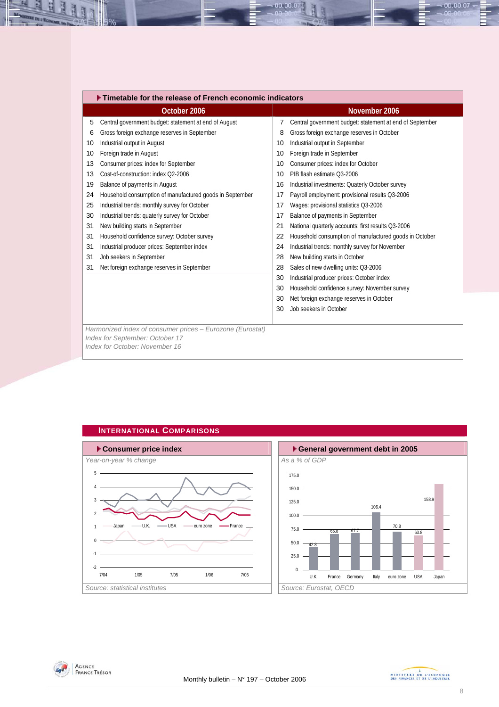<span id="page-7-0"></span>

|    | Timetable for the release of French economic indicators           |    |                                                          |  |  |  |  |  |  |  |  |
|----|-------------------------------------------------------------------|----|----------------------------------------------------------|--|--|--|--|--|--|--|--|
|    | October 2006                                                      |    | November 2006                                            |  |  |  |  |  |  |  |  |
| 5  | Central government budget: statement at end of August             | 7  | Central government budget: statement at end of September |  |  |  |  |  |  |  |  |
| 6  | Gross foreign exchange reserves in September                      | 8  | Gross foreign exchange reserves in October               |  |  |  |  |  |  |  |  |
| 10 | Industrial output in August                                       | 10 | Industrial output in September                           |  |  |  |  |  |  |  |  |
| 10 | Foreign trade in August                                           | 10 | Foreign trade in September                               |  |  |  |  |  |  |  |  |
| 13 | Consumer prices: index for September                              | 10 | Consumer prices: index for October                       |  |  |  |  |  |  |  |  |
| 13 | Cost-of-construction: index Q2-2006                               | 10 | PIB flash estimate 03-2006                               |  |  |  |  |  |  |  |  |
| 19 | Balance of payments in August                                     | 16 | Industrial investments: Quaterly October survey          |  |  |  |  |  |  |  |  |
| 24 | Household consumption of manufactured goods in September          | 17 | Payroll employment: provisional results Q3-2006          |  |  |  |  |  |  |  |  |
| 25 | Industrial trends: monthly survey for October                     | 17 | Wages: provisional statistics Q3-2006                    |  |  |  |  |  |  |  |  |
| 30 | Industrial trends: quaterly survey for October                    | 17 | Balance of payments in September                         |  |  |  |  |  |  |  |  |
| 31 | New building starts in September                                  | 21 | National quarterly accounts: first results Q3-2006       |  |  |  |  |  |  |  |  |
| 31 | Household confidence survey: October survey                       | 22 | Household consumption of manufactured goods in October   |  |  |  |  |  |  |  |  |
| 31 | Industrial producer prices: September index                       | 24 | Industrial trends: monthly survey for November           |  |  |  |  |  |  |  |  |
| 31 | Job seekers in September                                          | 28 | New building starts in October                           |  |  |  |  |  |  |  |  |
| 31 | Net foreign exchange reserves in September                        | 28 | Sales of new dwelling units: Q3-2006                     |  |  |  |  |  |  |  |  |
|    |                                                                   | 30 | Industrial producer prices: October index                |  |  |  |  |  |  |  |  |
|    |                                                                   | 30 | Household confidence survey: November survey             |  |  |  |  |  |  |  |  |
|    |                                                                   | 30 | Net foreign exchange reserves in October                 |  |  |  |  |  |  |  |  |
|    |                                                                   | 30 | Job seekers in October                                   |  |  |  |  |  |  |  |  |
|    |                                                                   |    |                                                          |  |  |  |  |  |  |  |  |
|    | Harmonized index of consumer prices - Eurozone (Eurostat)         |    |                                                          |  |  |  |  |  |  |  |  |
|    | Index for September: October 17<br>Index for October: November 16 |    |                                                          |  |  |  |  |  |  |  |  |
|    |                                                                   |    |                                                          |  |  |  |  |  |  |  |  |

00.00.0



### 106.4 70.8 42.8 66.8 67.7 63.8 158.9 0. 25.0 50.0 75.0 100.0 125.0 150.0 175.0 U.K. France Germany Italy euro zone USA Japan



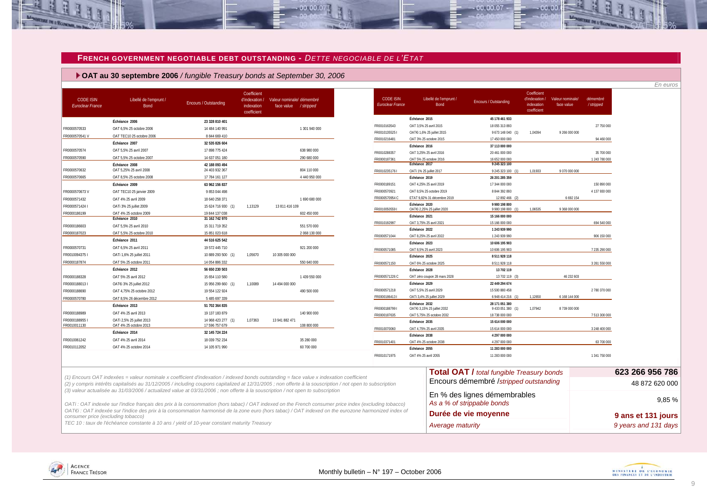#### **FRENCH GOVERNMENT NEGOTIABLE DEBT OUTSTANDING -** *DETTE NEGOCIABLE DE L'ETAT*

 $00.00.01$ 

 **OAT au 30 septembre 2006** */ fungible Treasury bonds at September 30, 2006*

| <b>CODE ISIN</b><br><b>Euroclear France</b> | Libellé de l'emprunt /<br>Bond                                                                                                                                                                                                                                                               | Encours / Outstanding            | Coefficient<br>d'indexation /<br>indexation<br>coefficient | Valeur nominale/ démembré<br>face value / stripped | <b>CODE ISIN</b><br>Euroclear France | Libellé de l'emprunt /<br>Bond               | <b>Encours / Outstanding</b>                               | Coefficient<br>d'indexation /<br>indexation<br>coefficient | Valeur nominale/<br>face value | démembré<br>/stripped |                 |
|---------------------------------------------|----------------------------------------------------------------------------------------------------------------------------------------------------------------------------------------------------------------------------------------------------------------------------------------------|----------------------------------|------------------------------------------------------------|----------------------------------------------------|--------------------------------------|----------------------------------------------|------------------------------------------------------------|------------------------------------------------------------|--------------------------------|-----------------------|-----------------|
|                                             | Échéance 2006                                                                                                                                                                                                                                                                                | 23 328 810 401                   |                                                            |                                                    |                                      | Échéance 2015                                | 45 178 461 933                                             |                                                            |                                |                       |                 |
| FR0000570533                                | OAT 6,5% 25 octobre 2006                                                                                                                                                                                                                                                                     | 14 484 140 991                   |                                                            | 1 301 940 000                                      | FR0010163543                         | OAT 3,5% 25 avril 2015                       | 18 055 313 893                                             |                                                            |                                | 27 750 000            |                 |
| FR0000570541 V                              | OAT TEC10 25 octobre 2006                                                                                                                                                                                                                                                                    | 8 844 669 410                    |                                                            |                                                    | FR0010135525                         | OATEi 1,6% 25 juillet 2015                   | 9 673 148 040 (1                                           | 1,04394                                                    | 9 266 000 000                  |                       |                 |
|                                             | Échéance 2007                                                                                                                                                                                                                                                                                | 32 535 826 604                   |                                                            |                                                    | FR0010216481                         | OAT 3% 25 octobre 2015                       | 17 450 000 000                                             |                                                            |                                | 94 460 000            |                 |
| FR0000570574                                | OAT 5,5% 25 avril 2007                                                                                                                                                                                                                                                                       | 17 898 775 424                   |                                                            | 638 980 000                                        |                                      | Échéance 2016                                | 37 113 000 000                                             |                                                            |                                |                       |                 |
| FR0000570590                                | OAT 5,5% 25 octobre 2007                                                                                                                                                                                                                                                                     | 14 637 051 180                   |                                                            | 290 680 000                                        | FR0010288357                         | OAT 3,25% 25 avril 2016                      | 20 461 000 000                                             |                                                            |                                | 35 700 000            |                 |
|                                             | Échéance 2008                                                                                                                                                                                                                                                                                | 42 188 093 494                   |                                                            |                                                    | FR0000187361                         | OAT 5% 25 octobre 2016<br>Échéance 2017      | 16 652 000 000<br>9 245 323 100                            |                                                            |                                | 1 243 780 000         |                 |
| FR0000570632                                | OAT 5,25% 25 avril 2008                                                                                                                                                                                                                                                                      | 24 403 932 367                   |                                                            | 804 110 000                                        | FR00102351761                        | OATi 1% 25 juillet 2017                      | 9 245 323 100 (1)                                          | 1.01933                                                    | 9 070 000 000                  |                       |                 |
| FR0000570665                                | OAT 8.5% 25 octobre 2008                                                                                                                                                                                                                                                                     | 17 784 161 127                   |                                                            | 4 440 950 000                                      |                                      | Échéance 2019                                | 26 201 285 359                                             |                                                            |                                |                       |                 |
|                                             | Échéance 2009                                                                                                                                                                                                                                                                                | 63 962 156 837                   |                                                            |                                                    | FR0000189151                         | OAT 4,25% 25 avril 2019                      | 17 344 000 000                                             |                                                            |                                | 150 890 000           |                 |
| FR0000570673V                               | OAT TEC10 25 janvier 2009                                                                                                                                                                                                                                                                    | 9 853 044 498                    |                                                            |                                                    | FR0000570921                         | OAT 8.5% 25 octobre 2019                     | 8 844 392 893                                              |                                                            |                                | 4 137 930 000         |                 |
| FR0000571432                                | OAT 4% 25 avril 2009                                                                                                                                                                                                                                                                         | 18 640 258 371                   |                                                            | 1 690 680 000                                      | FR0000570954 C                       | ETAT 9.82% 31 décembre 2019                  | 12 892 466                                                 |                                                            | 6 692 154                      |                       |                 |
| FR0000571424                                | OATi 3% 25 juillet 2009                                                                                                                                                                                                                                                                      | 15 624 716 930 (1)               | 1,13129                                                    | 13 811 416 109                                     | FR00100505591                        | Échéance 2020<br>OATEi 2,25% 25 juillet 2020 | 9 980 198 800<br>9 980 198 800 (1                          | 1,06535                                                    | 9 368 000 000                  |                       |                 |
| FR0000186199                                | OAT 4% 25 octobre 2009<br>Échéance 2010                                                                                                                                                                                                                                                      | 19 844 137 038<br>31 162 742 970 |                                                            | 602 450 000                                        |                                      | Échéance 2021                                | 15 166 000 000                                             |                                                            |                                |                       |                 |
| FR0000186603                                | OAT 5,5% 25 avril 2010                                                                                                                                                                                                                                                                       | 15 311 719 352                   |                                                            | 551 570 000                                        | FR0010192997                         | OAT 3,75% 25 avril 2021                      | 15 166 000 000                                             |                                                            |                                | 694 540 000           |                 |
| FR0000187023                                | OAT 5.5% 25 octobre 2010                                                                                                                                                                                                                                                                     | 15 851 023 618                   |                                                            | 2068130000                                         |                                      | Échéance 2022                                | 1 243 939 990                                              |                                                            |                                |                       |                 |
|                                             | Échéance 2011                                                                                                                                                                                                                                                                                | 44 516 625 542                   |                                                            |                                                    | FR0000571044                         | OAT 8,25% 25 avril 2022                      | 1 243 939 990                                              |                                                            |                                | 906 150 000           |                 |
|                                             |                                                                                                                                                                                                                                                                                              |                                  |                                                            |                                                    |                                      | Échéance 2023                                | 10 606 195 903                                             |                                                            |                                |                       |                 |
| FR0000570731                                | OAT 6.5% 25 avril 2011                                                                                                                                                                                                                                                                       | 19 572 445 710                   |                                                            | 921 200 000                                        | FR0000571085                         | OAT 8,5% 25 avril 2023                       | 10 606 195 903                                             |                                                            |                                | 7 235 290 000         |                 |
| FR0010094375                                | OATi 1,6% 25 juillet 2011                                                                                                                                                                                                                                                                    | 10 889 293 500 (1)               | 1,05670                                                    | 10 305 000 000                                     |                                      | Échéance 2025                                | 8 511 928 118                                              |                                                            |                                |                       |                 |
| FR0000187874                                | OAT 5% 25 octobre 2011                                                                                                                                                                                                                                                                       | 14 054 886 332                   |                                                            | 550 640 000                                        | FR0000571150                         | OAT 6% 25 octobre 2025                       | 8511928118                                                 |                                                            |                                | 3 261 550 000         |                 |
|                                             | Échéance 2012                                                                                                                                                                                                                                                                                | 56 650 230 503                   |                                                            |                                                    |                                      | Échéance 2028                                | 13 702 119                                                 |                                                            |                                |                       |                 |
| FR0000188328                                | OAT 5% 25 avril 2012                                                                                                                                                                                                                                                                         | 15 654 110 580                   |                                                            | 1 439 550 000                                      | FR0000571226 C                       | OAT zéro coupon 28 mars 2028                 | 13 702 119 (                                               |                                                            | 46 232 603                     |                       |                 |
| FR0000188013 I                              | OAT€i 3% 25 juillet 2012                                                                                                                                                                                                                                                                     | 15 956 299 660 (1)               | 1,10089                                                    | 14 494 000 000                                     |                                      | Échéance 2029                                | 22 449 294 674                                             |                                                            |                                |                       |                 |
| FR0000188690                                | OAT 4,75% 25 octobre 2012                                                                                                                                                                                                                                                                    | 19 554 122 924                   |                                                            | 490 500 000                                        | FR0000571218                         | OAT 5,5% 25 avril 2029                       | 15 500 880 458                                             |                                                            |                                | 2 780 370 000         |                 |
| FR0000570780                                | OAT 8,5% 26 décembre 2012                                                                                                                                                                                                                                                                    | 5 485 697 339                    |                                                            |                                                    | FR00001864131                        | OATi 3.4% 25 juillet 2029<br>Échéance 2032   | 6 948 414 216 (1)                                          | 1,12650                                                    | 6 168 144 000                  |                       |                 |
|                                             | Échéance 2013                                                                                                                                                                                                                                                                                | 51 702 364 835                   |                                                            |                                                    | FR00001887991                        | OATEi 3,15% 25 juillet 2032                  | 28 171 051 380<br>9 433 051 380 (1)                        | 1,07942                                                    | 8 739 000 000                  |                       |                 |
| FR0000188989                                | OAT 4% 25 avril 2013                                                                                                                                                                                                                                                                         | 19 137 183 879                   |                                                            | 140 900 000                                        | FR0000187635                         | OAT 5,75% 25 octobre 2032                    | 18 738 000 000                                             |                                                            |                                | 7513300000            |                 |
| FR00001889551                               | OATi 2,5% 25 juillet 2013                                                                                                                                                                                                                                                                    | 14 968 423 277 (1)               | 1,07363                                                    | 13 941 882 471                                     |                                      | Échéance 2035                                | 15 614 000 000                                             |                                                            |                                |                       |                 |
| FR0010011130                                | OAT 4% 25 octobre 2013                                                                                                                                                                                                                                                                       | 17 596 757 679                   |                                                            | 108 800 000                                        | FR0010070060                         | OAT 4,75% 25 avril 2035                      | 15 614 000 000                                             |                                                            |                                | 3 248 400 000         |                 |
|                                             | Échéance 2014                                                                                                                                                                                                                                                                                | 32 145 724 224                   |                                                            |                                                    |                                      | Échéance 2038                                | 4 297 000 000                                              |                                                            |                                |                       |                 |
| FR0010061242                                | OAT 4% 25 avril 2014                                                                                                                                                                                                                                                                         | 18 039 752 234                   |                                                            | 35 280 000                                         | FR0010371401                         | OAT 4% 25 octobre 2038                       | 4 297 000 000                                              |                                                            |                                | 63 700 000            |                 |
| FR0010112052                                | OAT 4% 25 octobre 2014                                                                                                                                                                                                                                                                       | 14 105 971 990                   |                                                            | 60 700 000                                         |                                      | Échéance 2055                                | 11 283 000 000                                             |                                                            |                                |                       |                 |
|                                             |                                                                                                                                                                                                                                                                                              |                                  |                                                            |                                                    | FR0010171975                         | OAT 4% 25 avril 2055                         | 11 283 000 000                                             |                                                            |                                | 1 341 750 000         |                 |
|                                             |                                                                                                                                                                                                                                                                                              |                                  |                                                            |                                                    |                                      |                                              | <b>Total OAT / total fungible Treasury bonds</b>           |                                                            |                                |                       | 623 266 956 786 |
|                                             | (1) Encours OAT indexées = valeur nominale x coefficient d'indexation / indexed bonds outstanding = face value x indexation coefficient                                                                                                                                                      |                                  |                                                            |                                                    |                                      |                                              |                                                            |                                                            |                                |                       |                 |
|                                             | (2) y compris intérêts capitalisés au 31/12/2005 / including coupons capitalized at 12/31/2005 ; non offerte à la souscription / not open to subscription<br>(3) valeur actualisée au 31/03/2006 / actualized value at 03/31/2006 ; non offerte à la souscription / not open to subscription |                                  |                                                            |                                                    |                                      |                                              | Encours démembré /stripped outstanding                     |                                                            |                                |                       | 48 872 620 000  |
|                                             | OATi: OAT indexée sur l'indice français des prix à la consommation (hors tabac) / OAT indexed on the French consumer price index (excluding tobacco)                                                                                                                                         |                                  |                                                            |                                                    |                                      |                                              | En % des lignes démembrables<br>As a % of strippable bonds |                                                            |                                |                       |                 |

*OATi : OAT indexée sur l'indice français des prix à la consommation (hors tabac) / OAT indexed on the French consumer price index (excluding tobacco) OAT€i : OAT indexée sur l'indice des prix à la consommation harmonisé de la zone euro (hors tabac) / OAT indexed on the eurozone harmonized index of consumer price (excluding tobacco)*



00.00.07

 $00,00$ 

<span id="page-8-0"></span>

**BE IN L'ECON**